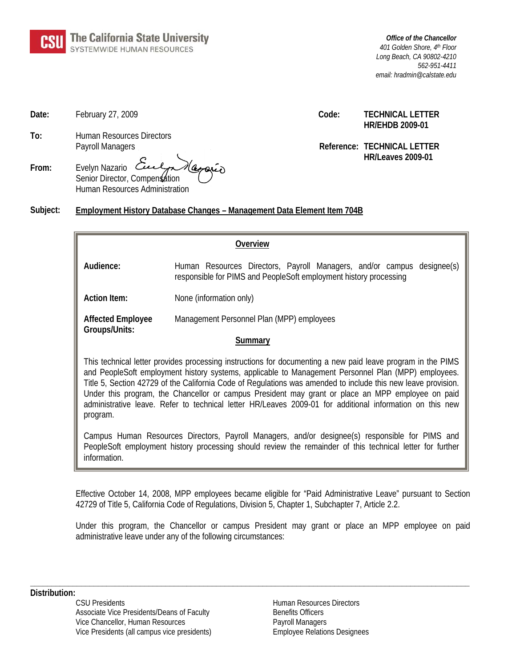

*Office of the Chancellor 401 Golden Shore, 4th Floor Long Beach, CA 90802-4210 562-951-4411 email: hradmin@calstate.edu*

**To:** Human Resources Directors

| From: | Evelyn Nazario Culpa Magaria   |  |
|-------|--------------------------------|--|
|       | Senior Director, Compensation  |  |
|       | Human Resources Administration |  |

**Date:** February 27, 2009 **Code: TECHNICAL LETTER HR/EHDB 2009-01**

> Payroll Managers **Reference: TECHNICAL LETTER HR/Leaves 2009-01**

#### **Subject: Employment History Database Changes – Management Data Element Item 704B**

| Overview                                                                                                                                                                                                                                                                                                                                                                                                                                                                                                                                                         |                                                                                                                                             |  |  |
|------------------------------------------------------------------------------------------------------------------------------------------------------------------------------------------------------------------------------------------------------------------------------------------------------------------------------------------------------------------------------------------------------------------------------------------------------------------------------------------------------------------------------------------------------------------|---------------------------------------------------------------------------------------------------------------------------------------------|--|--|
| Audience:                                                                                                                                                                                                                                                                                                                                                                                                                                                                                                                                                        | Human Resources Directors, Payroll Managers, and/or campus designee(s)<br>responsible for PIMS and PeopleSoft employment history processing |  |  |
| <b>Action Item:</b>                                                                                                                                                                                                                                                                                                                                                                                                                                                                                                                                              | None (information only)                                                                                                                     |  |  |
| <b>Affected Employee</b>                                                                                                                                                                                                                                                                                                                                                                                                                                                                                                                                         | Management Personnel Plan (MPP) employees                                                                                                   |  |  |
| Groups/Units:<br>Summary                                                                                                                                                                                                                                                                                                                                                                                                                                                                                                                                         |                                                                                                                                             |  |  |
| This technical letter provides processing instructions for documenting a new paid leave program in the PIMS<br>and PeopleSoft employment history systems, applicable to Management Personnel Plan (MPP) employees.<br>Title 5, Section 42729 of the California Code of Regulations was amended to include this new leave provision.<br>Under this program, the Chancellor or campus President may grant or place an MPP employee on paid<br>administrative leave. Refer to technical letter HR/Leaves 2009-01 for additional information on this new<br>program. |                                                                                                                                             |  |  |
| Campus Human Resources Directors, Payroll Managers, and/or designee(s) responsible for PIMS and<br>PeopleSoft employment history processing should review the remainder of this technical letter for further<br>information.                                                                                                                                                                                                                                                                                                                                     |                                                                                                                                             |  |  |

Effective October 14, 2008, MPP employees became eligible for "Paid Administrative Leave" pursuant to Section 42729 of Title 5, California Code of Regulations, Division 5, Chapter 1, Subchapter 7, Article 2.2.

Under this program, the Chancellor or campus President may grant or place an MPP employee on paid administrative leave under any of the following circumstances:

**\_\_\_\_\_\_\_\_\_\_\_\_\_\_\_\_\_\_\_\_\_\_\_\_\_\_\_\_\_\_\_\_\_\_\_\_\_\_\_\_\_\_\_\_\_\_\_\_\_\_\_\_\_\_\_\_\_\_\_\_\_\_\_\_\_\_\_\_\_\_\_\_\_\_\_\_\_\_\_\_\_\_\_\_\_\_\_\_\_\_\_\_\_\_\_\_\_\_\_\_\_\_\_\_**

**Distribution:**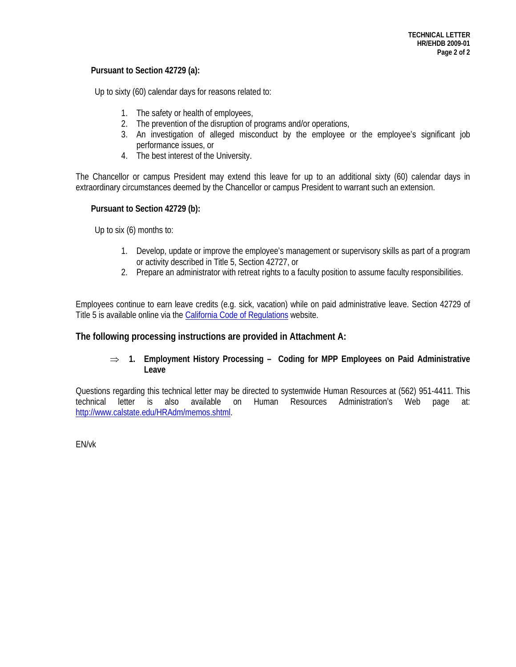#### **Pursuant to Section 42729 (a):**

Up to sixty (60) calendar days for reasons related to:

- 1. The safety or health of employees,
- 2. The prevention of the disruption of programs and/or operations,
- 3. An investigation of alleged misconduct by the employee or the employee's significant job performance issues, or
- 4. The best interest of the University.

The Chancellor or campus President may extend this leave for up to an additional sixty (60) calendar days in extraordinary circumstances deemed by the Chancellor or campus President to warrant such an extension.

#### **Pursuant to Section 42729 (b):**

Up to six (6) months to:

- 1. Develop, update or improve the employee's management or supervisory skills as part of a program or activity described in Title 5, Section 42727, or
- 2. Prepare an administrator with retreat rights to a faculty position to assume faculty responsibilities.

Employees continue to earn leave credits (e.g. sick, vacation) while on paid administrative leave. Section 42729 of Title 5 is available online via the [California Code of Regulations](http://government.westlaw.com/linkedslice/search/default.asp?tempinfo=find&RS=GVT1.0&VR=2.0&SP=CCR-1000) website.

### **The following processing instructions are provided in Attachment A:**

#### ⇒ **1. Employment History Processing – Coding for MPP Employees on Paid Administrative Leave**

Questions regarding this technical letter may be directed to systemwide Human Resources at (562) 951-4411. This technical letter is also available on Human Resources Administration's Web page at: [http://www.calstate.edu/HRAdm/memos.shtml.](http://www.calstate.edu/HRAdm/memos.shtml)

EN/vk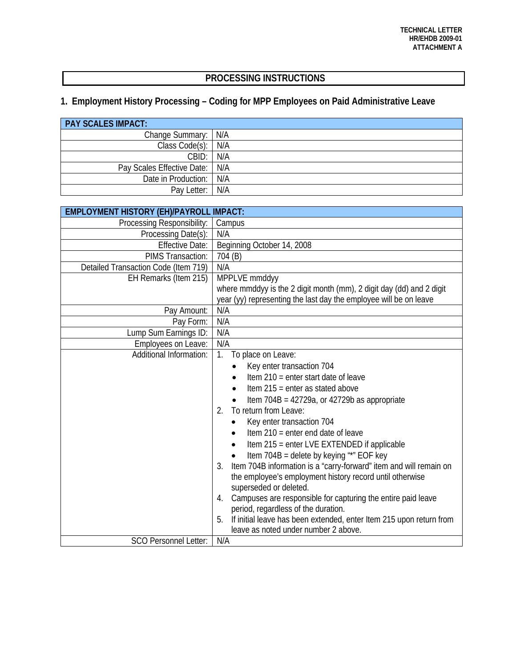## **PROCESSING INSTRUCTIONS**

# **1. Employment History Processing – Coding for MPP Employees on Paid Administrative Leave**

| <b>PAY SCALES IMPACT:</b>      |     |  |  |  |
|--------------------------------|-----|--|--|--|
| Change Summary:   N/A          |     |  |  |  |
| Class Code(s): N/A             |     |  |  |  |
| CBD:                           | N/A |  |  |  |
| Pay Scales Effective Date: N/A |     |  |  |  |
| Date in Production: N/A        |     |  |  |  |
| Pay Letter:                    | N/A |  |  |  |

| <b>EMPLOYMENT HISTORY (EH)/PAYROLL IMPACT:</b> |                                                                           |  |  |  |
|------------------------------------------------|---------------------------------------------------------------------------|--|--|--|
| Processing Responsibility:                     | Campus                                                                    |  |  |  |
| Processing Date(s):                            | N/A                                                                       |  |  |  |
| <b>Effective Date:</b>                         | Beginning October 14, 2008                                                |  |  |  |
| PIMS Transaction:                              | 704 (B)                                                                   |  |  |  |
| Detailed Transaction Code (Item 719)           | N/A                                                                       |  |  |  |
| EH Remarks (Item 215)                          | MPPLVE mmddyy                                                             |  |  |  |
|                                                | where mmddyy is the 2 digit month (mm), 2 digit day (dd) and 2 digit      |  |  |  |
|                                                | year (yy) representing the last day the employee will be on leave         |  |  |  |
| Pay Amount:                                    | N/A                                                                       |  |  |  |
| Pay Form:                                      | N/A                                                                       |  |  |  |
| Lump Sum Earnings ID:                          | N/A                                                                       |  |  |  |
| Employees on Leave:                            | N/A                                                                       |  |  |  |
| Additional Information:                        | $1_{\cdot}$<br>To place on Leave:                                         |  |  |  |
|                                                | Key enter transaction 704                                                 |  |  |  |
|                                                | Item $210$ = enter start date of leave                                    |  |  |  |
|                                                | Item $215$ = enter as stated above                                        |  |  |  |
|                                                | Item $704B = 42729a$ , or $42729b$ as appropriate                         |  |  |  |
|                                                | To return from Leave:<br>2.                                               |  |  |  |
|                                                | Key enter transaction 704                                                 |  |  |  |
|                                                | Item $210$ = enter end date of leave                                      |  |  |  |
|                                                | Item 215 = enter LVE EXTENDED if applicable                               |  |  |  |
|                                                | Item 704B = delete by keying "*" EOF key<br>$\bullet$                     |  |  |  |
|                                                | Item 704B information is a "carry-forward" item and will remain on<br>3.  |  |  |  |
|                                                | the employee's employment history record until otherwise                  |  |  |  |
|                                                | superseded or deleted.                                                    |  |  |  |
|                                                | Campuses are responsible for capturing the entire paid leave<br>4.        |  |  |  |
|                                                | period, regardless of the duration.                                       |  |  |  |
|                                                | If initial leave has been extended, enter Item 215 upon return from<br>5. |  |  |  |
|                                                | leave as noted under number 2 above.                                      |  |  |  |
| <b>SCO Personnel Letter:</b>                   | N/A                                                                       |  |  |  |